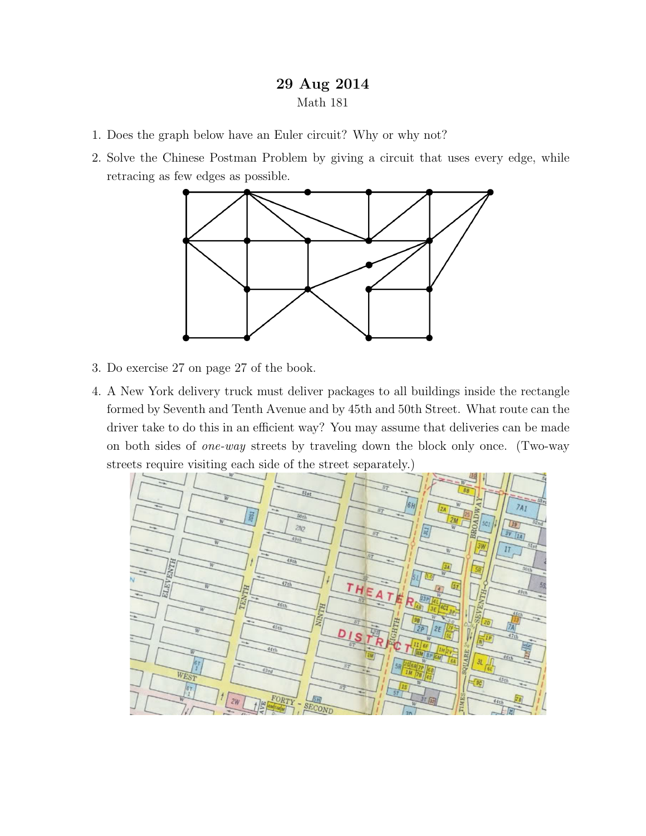## 29 Aug 2014 Math 181

- 1. Does the graph below have an Euler circuit? Why or why not?
- 2. Solve the Chinese Postman Problem by giving a circuit that uses every edge, while retracing as few edges as possible.



- 3. Do exercise 27 on page 27 of the book.
- 4. A New York delivery truck must deliver packages to all buildings inside the rectangle formed by Seventh and Tenth Avenue and by 45th and 50th Street. What route can the driver take to do this in an efficient way? You may assume that deliveries can be made on both sides of one-way streets by traveling down the block only once. (Two-way streets require visiting each side of the street separately.)